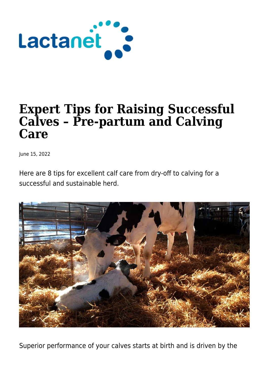

# **Expert Tips for Raising Successful Calves – Pre-partum and Calving Care**

June 15, 2022

Here are 8 tips for excellent calf care from dry-off to calving for a successful and sustainable herd.



Superior performance of your calves starts at birth and is driven by the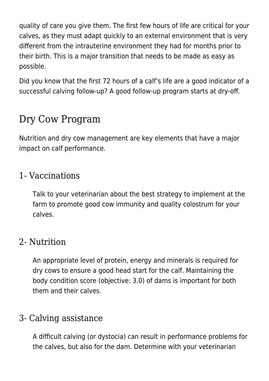quality of care you give them. The first few hours of life are critical for your calves, as they must adapt quickly to an external environment that is very different from the intrauterine environment they had for months prior to their birth. This is a major transition that needs to be made as easy as possible.

Did you know that the first 72 hours of a calf's life are a good indicator of a successful calving follow-up? A good follow-up program starts at dry-off.

# Dry Cow Program

Nutrition and dry cow management are key elements that have a major impact on calf performance.

#### 1- Vaccinations

Talk to your veterinarian about the best strategy to implement at the farm to promote good cow immunity and quality colostrum for your calves.

## 2- Nutrition

An appropriate level of protein, energy and minerals is required for dry cows to ensure a good head start for the calf. Maintaining the body condition score (objective: 3.0) of dams is important for both them and their calves.

## 3- Calving assistance

A difficult calving (or dystocia) can result in performance problems for the calves, but also for the dam. Determine with your veterinarian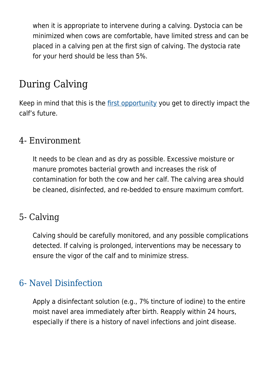when it is appropriate to intervene during a calving. Dystocia can be minimized when cows are comfortable, have limited stress and can be placed in a calving pen at the first sign of calving. The dystocia rate for your herd should be less than 5%.

# During Calving

Keep in mind that this is the [first opportunity](https://lactanet.ca/en/get-off-good-start-importance-of-the-first-hours/) you get to directly impact the calf's future.

#### 4- Environment

It needs to be clean and as dry as possible. Excessive moisture or manure promotes bacterial growth and increases the risk of contamination for both the cow and her calf. The calving area should be cleaned, disinfected, and re-bedded to ensure maximum comfort.

#### 5- Calving

Calving should be carefully monitored, and any possible complications detected. If calving is prolonged, interventions may be necessary to ensure the vigor of the calf and to minimize stress.

#### [6- Navel Disinfection](https://lactanet.ca/en/disinfecting-navel-get-off-good-start/)

Apply a disinfectant solution (e.g., 7% tincture of iodine) to the entire moist navel area immediately after birth. Reapply within 24 hours, especially if there is a history of navel infections and joint disease.